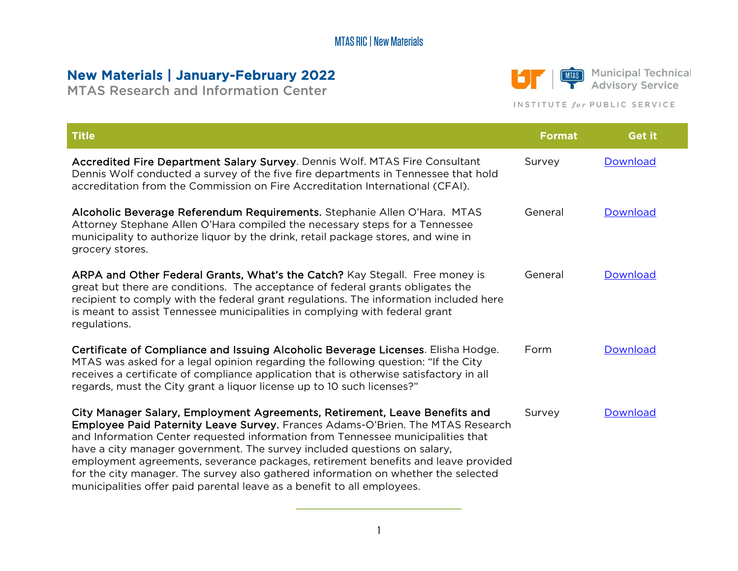# New Materials | January-February 2022

MTAS Research and Information Center



MIAS Municipal Technical **Advisory Service** 

#### INSTITUTE for PUBLIC SERVICE

| <b>Title</b>                                                                                                                                                                                                                                                                                                                                                                                                                                                                                                                                                                      | <b>Format</b> | <b>Get it</b> |
|-----------------------------------------------------------------------------------------------------------------------------------------------------------------------------------------------------------------------------------------------------------------------------------------------------------------------------------------------------------------------------------------------------------------------------------------------------------------------------------------------------------------------------------------------------------------------------------|---------------|---------------|
| Accredited Fire Department Salary Survey. Dennis Wolf. MTAS Fire Consultant<br>Dennis Wolf conducted a survey of the five fire departments in Tennessee that hold<br>accreditation from the Commission on Fire Accreditation International (CFAI).                                                                                                                                                                                                                                                                                                                                | Survey        | Download      |
| Alcoholic Beverage Referendum Requirements. Stephanie Allen O'Hara. MTAS<br>Attorney Stephane Allen O'Hara compiled the necessary steps for a Tennessee<br>municipality to authorize liquor by the drink, retail package stores, and wine in<br>grocery stores.                                                                                                                                                                                                                                                                                                                   | General       | Download      |
| ARPA and Other Federal Grants, What's the Catch? Kay Stegall. Free money is<br>great but there are conditions. The acceptance of federal grants obligates the<br>recipient to comply with the federal grant regulations. The information included here<br>is meant to assist Tennessee municipalities in complying with federal grant<br>regulations.                                                                                                                                                                                                                             | General       | Download      |
| Certificate of Compliance and Issuing Alcoholic Beverage Licenses. Elisha Hodge.<br>MTAS was asked for a legal opinion regarding the following question: "If the City<br>receives a certificate of compliance application that is otherwise satisfactory in all<br>regards, must the City grant a liquor license up to 10 such licenses?"                                                                                                                                                                                                                                         | Form          | Download      |
| City Manager Salary, Employment Agreements, Retirement, Leave Benefits and<br>Employee Paid Paternity Leave Survey. Frances Adams-O'Brien. The MTAS Research<br>and Information Center requested information from Tennessee municipalities that<br>have a city manager government. The survey included questions on salary,<br>employment agreements, severance packages, retirement benefits and leave provided<br>for the city manager. The survey also gathered information on whether the selected<br>municipalities offer paid parental leave as a benefit to all employees. | Survey        | Download      |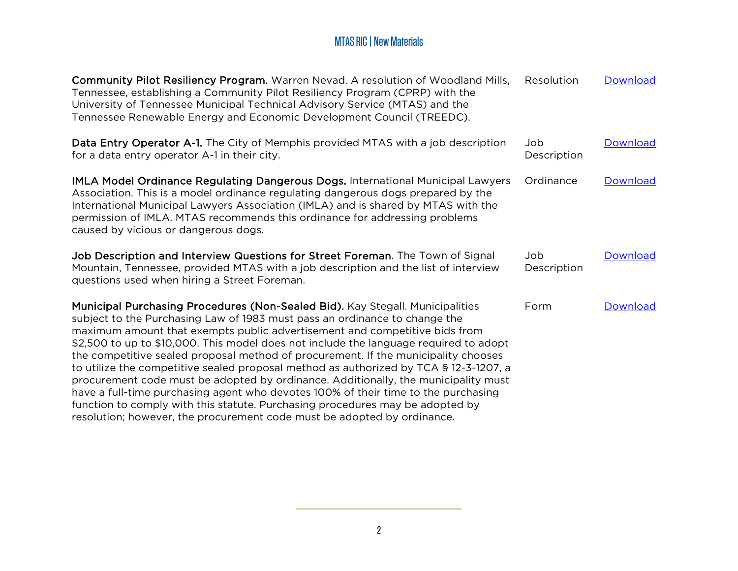| Community Pilot Resiliency Program. Warren Nevad. A resolution of Woodland Mills,<br>Tennessee, establishing a Community Pilot Resiliency Program (CPRP) with the<br>University of Tennessee Municipal Technical Advisory Service (MTAS) and the<br>Tennessee Renewable Energy and Economic Development Council (TREEDC).                                                                                                                                                                                                                                                                                                                                                                                                                                                                                                                                 | Resolution          | Download |
|-----------------------------------------------------------------------------------------------------------------------------------------------------------------------------------------------------------------------------------------------------------------------------------------------------------------------------------------------------------------------------------------------------------------------------------------------------------------------------------------------------------------------------------------------------------------------------------------------------------------------------------------------------------------------------------------------------------------------------------------------------------------------------------------------------------------------------------------------------------|---------------------|----------|
| Data Entry Operator A-1. The City of Memphis provided MTAS with a job description<br>for a data entry operator A-1 in their city.                                                                                                                                                                                                                                                                                                                                                                                                                                                                                                                                                                                                                                                                                                                         | Job.<br>Description | Download |
| IMLA Model Ordinance Regulating Dangerous Dogs. International Municipal Lawyers<br>Association. This is a model ordinance regulating dangerous dogs prepared by the<br>International Municipal Lawyers Association (IMLA) and is shared by MTAS with the<br>permission of IMLA. MTAS recommends this ordinance for addressing problems<br>caused by vicious or dangerous dogs.                                                                                                                                                                                                                                                                                                                                                                                                                                                                            | Ordinance           | Download |
| Job Description and Interview Questions for Street Foreman. The Town of Signal<br>Mountain, Tennessee, provided MTAS with a job description and the list of interview<br>questions used when hiring a Street Foreman.                                                                                                                                                                                                                                                                                                                                                                                                                                                                                                                                                                                                                                     | Job<br>Description  | Download |
| Municipal Purchasing Procedures (Non-Sealed Bid). Kay Stegall. Municipalities<br>subject to the Purchasing Law of 1983 must pass an ordinance to change the<br>maximum amount that exempts public advertisement and competitive bids from<br>\$2,500 to up to \$10,000. This model does not include the language required to adopt<br>the competitive sealed proposal method of procurement. If the municipality chooses<br>to utilize the competitive sealed proposal method as authorized by TCA § 12-3-1207, a<br>procurement code must be adopted by ordinance. Additionally, the municipality must<br>have a full-time purchasing agent who devotes 100% of their time to the purchasing<br>function to comply with this statute. Purchasing procedures may be adopted by<br>resolution; however, the procurement code must be adopted by ordinance. | Form                | Download |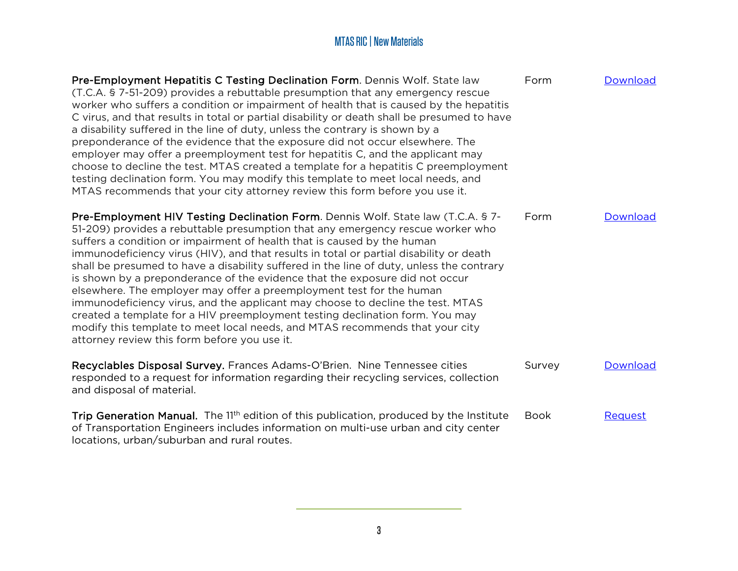| Pre-Employment Hepatitis C Testing Declination Form. Dennis Wolf. State law<br>(T.C.A. § 7-51-209) provides a rebuttable presumption that any emergency rescue<br>worker who suffers a condition or impairment of health that is caused by the hepatitis<br>C virus, and that results in total or partial disability or death shall be presumed to have<br>a disability suffered in the line of duty, unless the contrary is shown by a<br>preponderance of the evidence that the exposure did not occur elsewhere. The<br>employer may offer a preemployment test for hepatitis C, and the applicant may<br>choose to decline the test. MTAS created a template for a hepatitis C preemployment<br>testing declination form. You may modify this template to meet local needs, and<br>MTAS recommends that your city attorney review this form before you use it.                           | Form        | Download |
|----------------------------------------------------------------------------------------------------------------------------------------------------------------------------------------------------------------------------------------------------------------------------------------------------------------------------------------------------------------------------------------------------------------------------------------------------------------------------------------------------------------------------------------------------------------------------------------------------------------------------------------------------------------------------------------------------------------------------------------------------------------------------------------------------------------------------------------------------------------------------------------------|-------------|----------|
| Pre-Employment HIV Testing Declination Form. Dennis Wolf. State law (T.C.A. § 7-<br>51-209) provides a rebuttable presumption that any emergency rescue worker who<br>suffers a condition or impairment of health that is caused by the human<br>immunodeficiency virus (HIV), and that results in total or partial disability or death<br>shall be presumed to have a disability suffered in the line of duty, unless the contrary<br>is shown by a preponderance of the evidence that the exposure did not occur<br>elsewhere. The employer may offer a preemployment test for the human<br>immunodeficiency virus, and the applicant may choose to decline the test. MTAS<br>created a template for a HIV preemployment testing declination form. You may<br>modify this template to meet local needs, and MTAS recommends that your city<br>attorney review this form before you use it. | Form        | Download |
| Recyclables Disposal Survey. Frances Adams-O'Brien. Nine Tennessee cities<br>responded to a request for information regarding their recycling services, collection<br>and disposal of material.                                                                                                                                                                                                                                                                                                                                                                                                                                                                                                                                                                                                                                                                                              | Survey      | Download |
| Trip Generation Manual. The 11 <sup>th</sup> edition of this publication, produced by the Institute<br>of Transportation Engineers includes information on multi-use urban and city center<br>locations, urban/suburban and rural routes.                                                                                                                                                                                                                                                                                                                                                                                                                                                                                                                                                                                                                                                    | <b>Book</b> | Request  |